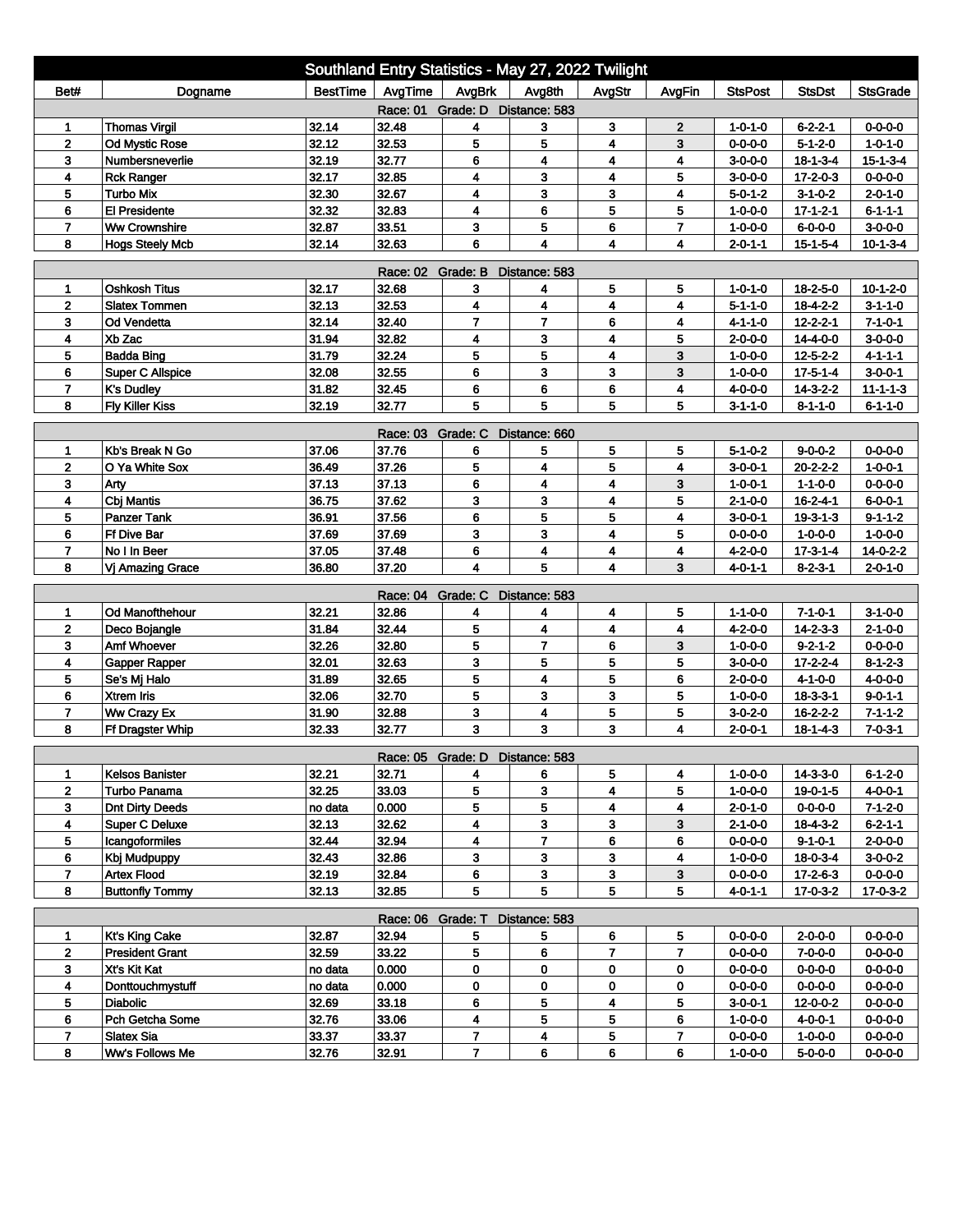| Southland Entry Statistics - May 27, 2022 Twilight |                                              |                 |                   |                                 |                         |                         |                              |                                    |                                      |                                     |  |
|----------------------------------------------------|----------------------------------------------|-----------------|-------------------|---------------------------------|-------------------------|-------------------------|------------------------------|------------------------------------|--------------------------------------|-------------------------------------|--|
| Bet#                                               | Dogname                                      | <b>BestTime</b> | AvgTime           | AvgBrk                          | Avg8th                  | AvgStr                  | AvgFin                       | <b>StsPost</b>                     | <b>StsDst</b>                        | <b>StsGrade</b>                     |  |
| Race: 01 Grade: D Distance: 583                    |                                              |                 |                   |                                 |                         |                         |                              |                                    |                                      |                                     |  |
| 1                                                  | <b>Thomas Virgil</b>                         | 32.14           | 32.48             | 4                               | 3                       | 3                       | 2                            | $1 - 0 - 1 - 0$                    | $6 - 2 - 2 - 1$                      | $0 - 0 - 0 - 0$                     |  |
| $\overline{2}$                                     | <b>Od Mystic Rose</b>                        | 32.12           | 32.53             | 5                               | 5                       | 4                       | 3                            | $0 - 0 - 0 - 0$                    | $5 - 1 - 2 - 0$                      | $1 - 0 - 1 - 0$                     |  |
| 3                                                  | Numbersneverlie                              | 32.19           | 32.77             | 6                               | 4                       | 4                       | 4                            | $3-0-0-0$                          | $18 - 1 - 3 - 4$                     | $15 - 1 - 3 - 4$                    |  |
| 4                                                  | <b>Rck Ranger</b>                            | 32.17           | 32.85             | 4                               | 3                       | 4                       | 5                            | $3 - 0 - 0 - 0$                    | $17 - 2 - 0 - 3$                     | 0-0-0-0                             |  |
| 5                                                  | <b>Turbo Mix</b>                             | 32.30           | 32.67             | 4                               | 3                       | 3                       | 4                            | $5 - 0 - 1 - 2$                    | $3 - 1 - 0 - 2$                      | $2 - 0 - 1 - 0$                     |  |
| 6<br>$\overline{\mathbf{r}}$                       | <b>El Presidente</b><br><b>Ww Crownshire</b> | 32.32<br>32.87  | 32.83             | 4<br>3                          | 6<br>5                  | 5<br>6                  | 5<br>$\overline{\mathbf{r}}$ | $1 - 0 - 0 - 0$                    | $17 - 1 - 2 - 1$                     | $6 - 1 - 1 - 1$                     |  |
| 8                                                  | <b>Hogs Steely Mcb</b>                       | 32.14           | 33.51<br>32.63    | 6                               | 4                       | $\overline{\mathbf{4}}$ | 4                            | $1 - 0 - 0 - 0$<br>$2 - 0 - 1 - 1$ | $6 - 0 - 0 - 0$<br>$15 - 1 - 5 - 4$  | $3-0-0-0$<br>$10 - 1 - 3 - 4$       |  |
|                                                    |                                              |                 |                   |                                 |                         |                         |                              |                                    |                                      |                                     |  |
| Race: 02 Grade: B<br>Distance: 583                 |                                              |                 |                   |                                 |                         |                         |                              |                                    |                                      |                                     |  |
| 1                                                  | <b>Oshkosh Titus</b>                         | 32.17           | 32.68             | 3                               | 4                       | 5                       | 5                            | 1-0-1-0                            | $18 - 2 - 5 - 0$                     | $10 - 1 - 2 - 0$                    |  |
| $\overline{2}$                                     | <b>Slatex Tommen</b>                         | 32.13           | 32.53             | 4                               | 4                       | 4                       | 4                            | $5 - 1 - 1 - 0$                    | $18 - 4 - 2 - 2$                     | $3 - 1 - 1 - 0$                     |  |
| 3                                                  | Od Vendetta                                  | 32.14           | 32.40             | $\overline{7}$                  | $\overline{7}$          | 6                       | 4                            | 4-1-1-0                            | $12 - 2 - 2 - 1$                     | $7 - 1 - 0 - 1$                     |  |
| 4                                                  | Xb Zac<br><b>Badda Bing</b>                  | 31.94<br>31.79  | 32.82<br>32.24    | 4                               | 3                       | 4                       | 5                            | $2 - 0 - 0 - 0$                    | 14-4-0-0                             | $3-0-0-0$                           |  |
| 5<br>6                                             | <b>Super C Allspice</b>                      | 32.08           |                   | 5<br>6                          | 5<br>3                  | 4<br>3                  | 3<br>3                       | $1 - 0 - 0 - 0$                    | $12 - 5 - 2 - 2$                     | $4 - 1 - 1 - 1$                     |  |
| $\overline{7}$                                     | <b>K's Dudley</b>                            | 31.82           | 32.55<br>32.45    | 6                               | 6                       | 6                       | 4                            | $1 - 0 - 0 - 0$                    | $17 - 5 - 1 - 4$<br>$14 - 3 - 2 - 2$ | $3 - 0 - 0 - 1$                     |  |
| 8                                                  | <b>Fly Killer Kiss</b>                       | 32.19           | 32.77             | 5                               | 5                       | 5                       | 5                            | 4-0-0-0<br>$3 - 1 - 1 - 0$         | $8 - 1 - 1 - 0$                      | $11 - 1 - 1 - 3$<br>$6 - 1 - 1 - 0$ |  |
|                                                    |                                              |                 |                   |                                 |                         |                         |                              |                                    |                                      |                                     |  |
| Race: 03 Grade: C<br>Distance: 660                 |                                              |                 |                   |                                 |                         |                         |                              |                                    |                                      |                                     |  |
| 1                                                  | Kb's Break N Go                              | 37.06           | 37.76             | 6                               | 5                       | 5                       | 5                            | $5 - 1 - 0 - 2$                    | $9 - 0 - 0 - 2$                      | $0 - 0 - 0 - 0$                     |  |
| 2                                                  | O Ya White Sox                               | 36.49           | 37.26             | 5                               | 4                       | 5                       | 4                            | $3 - 0 - 0 - 1$                    | $20 - 2 - 2 - 2$                     | $1 - 0 - 0 - 1$                     |  |
| 3                                                  | Arty                                         | 37.13           | 37.13             | 6                               | 4                       | 4                       | 3                            | 1-0-0-1                            | $1 - 1 - 0 - 0$                      | $0 - 0 - 0 - 0$                     |  |
| 4                                                  | Cbj Mantis                                   | 36.75           | 37.62             | 3                               | 3                       | 4                       | 5                            | 2-1-0-0                            | $16 - 2 - 4 - 1$                     | $6 - 0 - 0 - 1$                     |  |
| 5                                                  | <b>Panzer Tank</b>                           | 36.91           | 37.56             | 6                               | 5                       | 5                       | 4                            | $3 - 0 - 0 - 1$                    | $19 - 3 - 1 - 3$                     | $9 - 1 - 1 - 2$                     |  |
| 6                                                  | Ff Dive Bar                                  | 37.69           | 37.69             | 3                               | 3                       | 4                       | 5                            | $0 - 0 - 0 - 0$                    | $1 - 0 - 0 - 0$                      | $1 - 0 - 0 - 0$                     |  |
| $\overline{7}$                                     | No I In Beer                                 | 37.05           | 37.48             | 6                               | 4                       | 4                       | 4                            | $4 - 2 - 0 - 0$                    | $17 - 3 - 1 - 4$                     | $14 - 0 - 2 - 2$                    |  |
| 8                                                  | Vj Amazing Grace                             | 36.80           | 37.20             | 4                               | 5                       | 4                       | 3                            | 4-0-1-1                            | $8-2-3-1$                            | $2 - 0 - 1 - 0$                     |  |
|                                                    |                                              |                 | Race: 04 Grade: C |                                 | Distance: 583           |                         |                              |                                    |                                      |                                     |  |
| 1                                                  | Od Manofthehour                              | 32.21           | 32.86             | 4                               | 4                       | 4                       | 5                            | $1 - 1 - 0 - 0$                    | $7 - 1 - 0 - 1$                      | $3 - 1 - 0 - 0$                     |  |
| $\overline{2}$                                     | Deco Bojangle                                | 31.84           | 32.44             | 5                               | $\overline{\mathbf{4}}$ | 4                       | 4                            | 4-2-0-0                            | $14 - 2 - 3 - 3$                     | $2 - 1 - 0 - 0$                     |  |
| 3                                                  | Amf Whoever                                  | 32.26           | 32.80             | 5                               | $\overline{7}$          | 6                       | 3                            | $1 - 0 - 0 - 0$                    | $9 - 2 - 1 - 2$                      | $0 - 0 - 0 - 0$                     |  |
| 4                                                  | Gapper Rapper                                | 32.01           | 32.63             | 3                               | 5                       | 5                       | 5                            | $3 - 0 - 0 - 0$                    | $17 - 2 - 2 - 4$                     | $8 - 1 - 2 - 3$                     |  |
| 5                                                  | Se's Mj Halo                                 | 31.89           | 32.65             | 5                               | $\overline{\mathbf{4}}$ | 5                       | 6                            | $2 - 0 - 0 - 0$                    | $4 - 1 - 0 - 0$                      | $4 - 0 - 0 - 0$                     |  |
| 6                                                  | <b>Xtrem Iris</b>                            | 32.06           | 32.70             | 5                               | 3                       | 3                       | 5                            | $1 - 0 - 0 - 0$                    | $18 - 3 - 3 - 1$                     | $9 - 0 - 1 - 1$                     |  |
| $\overline{7}$                                     | Ww Crazy Ex                                  | 31.90           | 32.88             | 3                               | 4                       | 5                       | 5                            | $3 - 0 - 2 - 0$                    | $16 - 2 - 2 - 2$                     | $7 - 1 - 1 - 2$                     |  |
| 8                                                  | <b>Ff Dragster Whip</b>                      | 32.33           | 32.77             | 3                               | 3                       | 3                       | 4                            | $2 - 0 - 0 - 1$                    | $18 - 1 - 4 - 3$                     | $7 - 0 - 3 - 1$                     |  |
|                                                    |                                              |                 |                   | Race: 05 Grade: D Distance: 583 |                         |                         |                              |                                    |                                      |                                     |  |
| 1                                                  | <b>Kelsos Banister</b>                       | 32.21           | 32.71             | 4                               | 6                       | 5                       | 4                            | 1-0-0-0                            | 14-3-3-0                             | 6-1-2-0                             |  |
| $\mathbf{2}$                                       | Turbo Panama                                 | 32.25           | 33.03             | 5                               | 3                       | 4                       | 5                            | $1 - 0 - 0 - 0$                    | 19-0-1-5                             | $4 - 0 - 0 - 1$                     |  |
| 3                                                  | <b>Dnt Dirty Deeds</b>                       | no data         | 0.000             | 5                               | 5                       | 4                       | 4                            | $2 - 0 - 1 - 0$                    | $0 - 0 - 0 - 0$                      | $7 - 1 - 2 - 0$                     |  |
| 4                                                  | <b>Super C Deluxe</b>                        | 32.13           | 32.62             | 4                               | 3                       | 3                       | 3                            | $2 - 1 - 0 - 0$                    | $18 - 4 - 3 - 2$                     | $6 - 2 - 1 - 1$                     |  |
| 5                                                  | Icangoformiles                               | 32.44           | 32.94             | 4                               | 7                       | 6                       | 6                            | $0 - 0 - 0 - 0$                    | $9 - 1 - 0 - 1$                      | $2 - 0 - 0 - 0$                     |  |
| 6                                                  | Kbj Mudpuppy                                 | 32.43           | 32.86             | 3                               | 3                       | 3                       | 4                            | $1 - 0 - 0 - 0$                    | $18 - 0 - 3 - 4$                     | $3-0-0-2$                           |  |
| $\overline{7}$                                     | <b>Artex Flood</b>                           | 32.19           | 32.84             | 6                               | 3                       | 3                       | 3                            | $0 - 0 - 0 - 0$                    | $17 - 2 - 6 - 3$                     | $0 - 0 - 0 - 0$                     |  |
| 8                                                  | <b>Buttonfly Tommy</b>                       | 32.13           | 32.85             | 5                               | 5                       | 5                       | 5                            | $4 - 0 - 1 - 1$                    | $17 - 0 - 3 - 2$                     | 17-0-3-2                            |  |
|                                                    |                                              |                 | Race: 06 Grade: T |                                 | Distance: 583           |                         |                              |                                    |                                      |                                     |  |
| $\mathbf{1}$                                       | <b>Kt's King Cake</b>                        | 32.87           | 32.94             | 5                               | 5                       | 6                       | 5                            | $0 - 0 - 0 - 0$                    | $2 - 0 - 0 - 0$                      | $0 - 0 - 0 - 0$                     |  |
| $\mathbf{2}$                                       | <b>President Grant</b>                       | 32.59           | 33.22             | 5                               | 6                       | 7                       | 7                            | $0 - 0 - 0 - 0$                    | $7 - 0 - 0 - 0$                      | $0 - 0 - 0 - 0$                     |  |
| 3                                                  | Xt's Kit Kat                                 | no data         | 0.000             | 0                               | 0                       | 0                       | 0                            | 0-0-0-0                            | $0 - 0 - 0 - 0$                      | $0 - 0 - 0 - 0$                     |  |
| $\overline{\mathbf{4}}$                            | Donttouchmystuff                             | no data         | 0.000             | 0                               | 0                       | 0                       | 0                            | $0 - 0 - 0 - 0$                    | $0 - 0 - 0 - 0$                      | 0-0-0-0                             |  |
| 5                                                  | <b>Diabolic</b>                              | 32.69           | 33.18             | 6                               | 5                       | 4                       | 5                            | $3-0-0-1$                          | 12-0-0-2                             | $0 - 0 - 0 - 0$                     |  |
| 6                                                  | Pch Getcha Some                              | 32.76           | 33.06             | 4                               | 5                       | 5                       | 6                            | $1 - 0 - 0 - 0$                    | $4 - 0 - 0 - 1$                      | $0 - 0 - 0 - 0$                     |  |
| $\overline{7}$                                     | <b>Slatex Sia</b>                            | 33.37           | 33.37             | 7                               | 4                       | 5                       | 7                            | $0 - 0 - 0 - 0$                    | 1-0-0-0                              | $0 - 0 - 0 - 0$                     |  |
| 8                                                  | Ww's Follows Me                              | 32.76           | 32.91             | $\overline{7}$                  | 6                       | 6                       | 6                            | $1 - 0 - 0 - 0$                    | $5 - 0 - 0 - 0$                      | $0 - 0 - 0 - 0$                     |  |